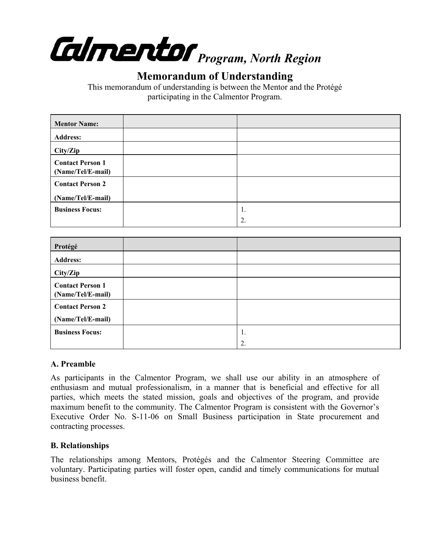

# **Memorandum of Understanding**

This memorandum of understanding is between the Mentor and the Protégé participating in the Calmentor Program.

| <b>Mentor Name:</b>                          |    |
|----------------------------------------------|----|
| <b>Address:</b>                              |    |
| City/Zip                                     |    |
| <b>Contact Person 1</b><br>(Name/Tel/E-mail) |    |
| <b>Contact Person 2</b>                      |    |
| (Name/Tel/E-mail)                            |    |
| <b>Business Focus:</b>                       | 1. |
|                                              | 2. |

| Protégé                                      |    |
|----------------------------------------------|----|
| <b>Address:</b>                              |    |
| City/Zip                                     |    |
| <b>Contact Person 1</b><br>(Name/Tel/E-mail) |    |
| <b>Contact Person 2</b>                      |    |
| (Name/Tel/E-mail)                            |    |
| <b>Business Focus:</b>                       | 1. |
|                                              | 2. |

### **A. Preamble**

As participants in the Calmentor Program, we shall use our ability in an atmosphere of enthusiasm and mutual professionalism, in a manner that is beneficial and effective for all parties, which meets the stated mission, goals and objectives of the program, and provide maximum benefit to the community. The Calmentor Program is consistent with the Governor's Executive Order No. S-11-06 on Small Business participation in State procurement and contracting processes.

### **B. Relationships**

The relationships among Mentors, Protégés and the Calmentor Steering Committee are voluntary. Participating parties will foster open, candid and timely communications for mutual business benefit.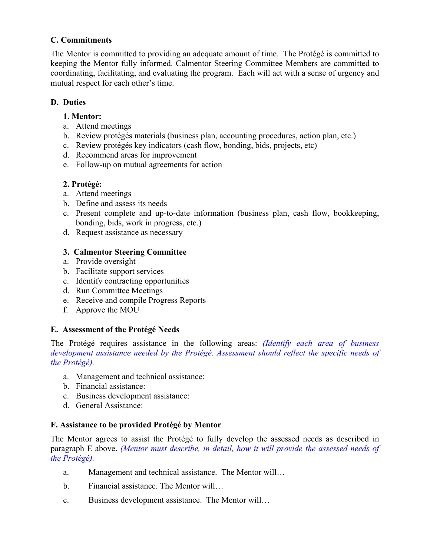### **C. Commitments**

The Mentor is committed to providing an adequate amount of time. The Protégé is committed to keeping the Mentor fully informed. Calmentor Steering Committee Members are committed to coordinating, facilitating, and evaluating the program. Each will act with a sense of urgency and mutual respect for each other's time.

### **D. Duties**

### **1. Mentor:**

- a. Attend meetings
- b. Review protégés materials (business plan, accounting procedures, action plan, etc.)
- c. Review protégés key indicators (cash flow, bonding, bids, projects, etc)
- d. Recommend areas for improvement
- e. Follow-up on mutual agreements for action

## **2. Protégé:**

- a. Attend meetings
- b. Define and assess its needs
- c. Present complete and up-to-date information (business plan, cash flow, bookkeeping, bonding, bids, work in progress, etc.)
- d. Request assistance as necessary

### **3. Calmentor Steering Committee**

- a. Provide oversight
- b. Facilitate support services
- c. Identify contracting opportunities
- d. Run Committee Meetings
- e. Receive and compile Progress Reports
- f. Approve the MOU

## **E. Assessment of the Protégé Needs**

The Protégé requires assistance in the following areas: *(Identify each area of business development assistance needed by the Protégé. Assessment should reflect the specific needs of the Protégé).* 

- a. Management and technical assistance:
- b. Financial assistance:
- c. Business development assistance:
- d. General Assistance:

## **F. Assistance to be provided Protégé by Mentor**

The Mentor agrees to assist the Protégé to fully develop the assessed needs as described in paragraph E above**.** *(Mentor must describe, in detail, how it will provide the assessed needs of the Protégé).* 

- a. Management and technical assistance. The Mentor will…
- b. Financial assistance. The Mentor will…
- c. Business development assistance. The Mentor will…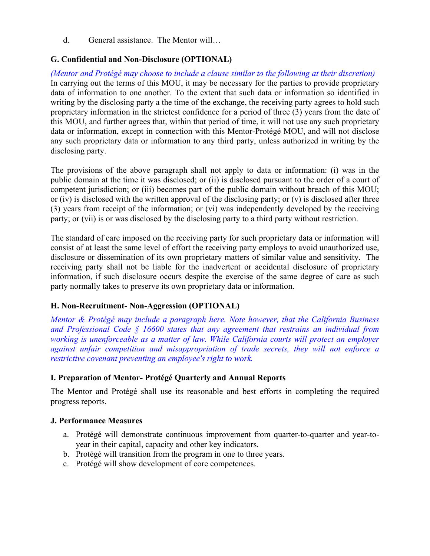d. General assistance. The Mentor will…

### **G. Confidential and Non-Disclosure (OPTIONAL)**

*(Mentor and Protégé may choose to include a clause similar to the following at their discretion)*  In carrying out the terms of this MOU, it may be necessary for the parties to provide proprietary data of information to one another. To the extent that such data or information so identified in writing by the disclosing party a the time of the exchange, the receiving party agrees to hold such proprietary information in the strictest confidence for a period of three (3) years from the date of this MOU, and further agrees that, within that period of time, it will not use any such proprietary data or information, except in connection with this Mentor-Protégé MOU, and will not disclose any such proprietary data or information to any third party, unless authorized in writing by the disclosing party.

The provisions of the above paragraph shall not apply to data or information: (i) was in the public domain at the time it was disclosed; or (ii) is disclosed pursuant to the order of a court of competent jurisdiction; or (iii) becomes part of the public domain without breach of this MOU; or (iv) is disclosed with the written approval of the disclosing party; or  $(v)$  is disclosed after three (3) years from receipt of the information; or (vi) was independently developed by the receiving party; or (vii) is or was disclosed by the disclosing party to a third party without restriction.

The standard of care imposed on the receiving party for such proprietary data or information will consist of at least the same level of effort the receiving party employs to avoid unauthorized use, disclosure or dissemination of its own proprietary matters of similar value and sensitivity. The receiving party shall not be liable for the inadvertent or accidental disclosure of proprietary information, if such disclosure occurs despite the exercise of the same degree of care as such party normally takes to preserve its own proprietary data or information.

### **H. Non-Recruitment- Non-Aggression (OPTIONAL)**

*Mentor & Protégé may include a paragraph here. Note however, that the California Business and Professional Code § 16600 states that any agreement that restrains an individual from working is unenforceable as a matter of law. While California courts will protect an employer against unfair competition and misappropriation of trade secrets, they will not enforce a restrictive covenant preventing an employee's right to work.* 

### **I. Preparation of Mentor- Protégé Quarterly and Annual Reports**

The Mentor and Protégé shall use its reasonable and best efforts in completing the required progress reports.

### **J. Performance Measures**

- a. Protégé will demonstrate continuous improvement from quarter-to-quarter and year-toyear in their capital, capacity and other key indicators.
- b. Protégé will transition from the program in one to three years.
- c. Protégé will show development of core competences.